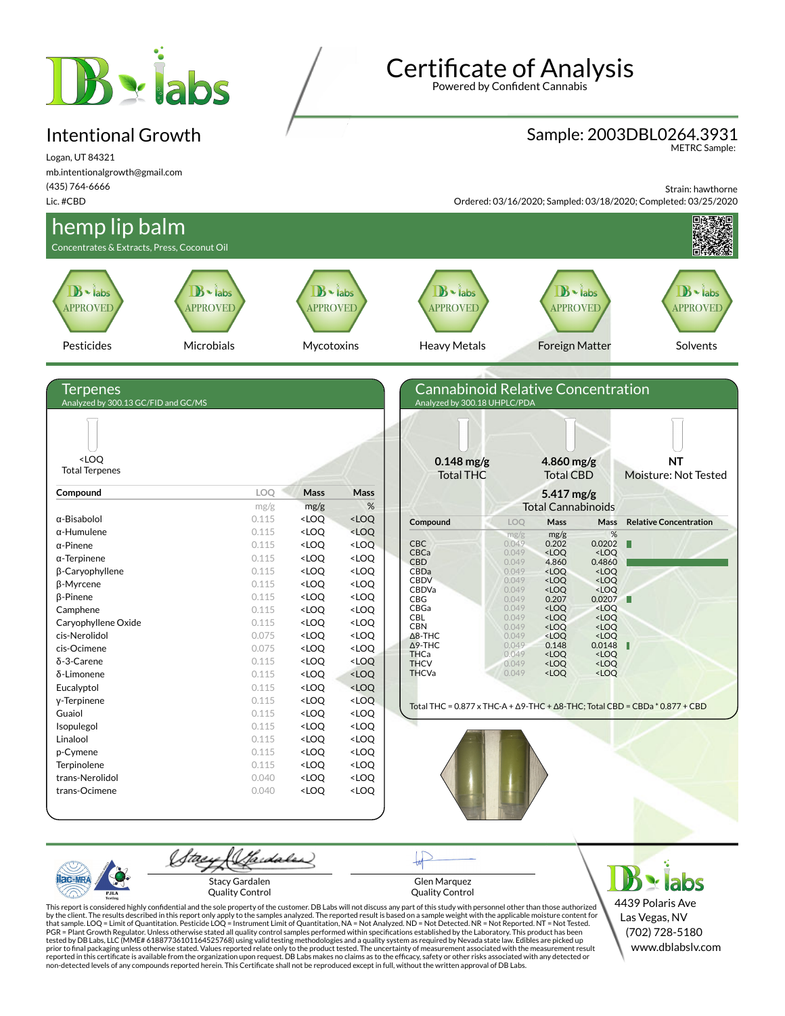# **B** siabs

#### Intentional Growth

Certificate of Analysis Powered by Confident Cannabis

#### Sample: 2003DBL0264.3931

METRC Sample:

Logan, UT 84321 mb.intentionalgrowth@gmail.com (435) 764-6666 Lic. #CBD

Strain: hawthorne

Ordered: 03/16/2020; Sampled: 03/18/2020; Completed: 03/25/2020





Glen Marquez Quality Control

**Y** labs 4439 Polaris Ave Las Vegas, NV (702) 728-5180 www.dblabslv.com

This report is considered highly confidential and the sole property of the customer. DB Labs will not discuss any part of this study with personnel other than those authorized<br>by the client. The results described in this r tested by DB Labs, LLC (MME# 61887736101164525768) using valid testing methodologies and a quality system as required by Nevada state law. Edibles are picked up<br>prior to final packaging unless otherwise stated. Values repo